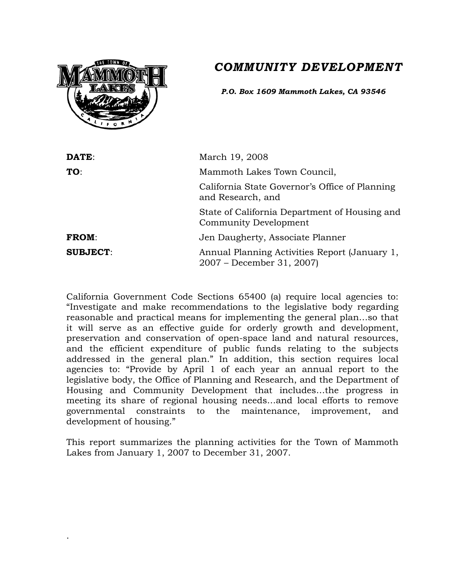# *COMMUNITY DEVELOPMENT*



.

*P.O. Box 1609 Mammoth Lakes, CA 93546*

| DATE:           | March 19, 2008                                                                |
|-----------------|-------------------------------------------------------------------------------|
| TO:             | Mammoth Lakes Town Council,                                                   |
|                 | California State Governor's Office of Planning<br>and Research, and           |
|                 | State of California Department of Housing and<br><b>Community Development</b> |
| <b>FROM:</b>    | Jen Daugherty, Associate Planner                                              |
| <b>SUBJECT:</b> | Annual Planning Activities Report (January 1,<br>2007 – December 31, 2007)    |

California Government Code Sections 65400 (a) require local agencies to: "Investigate and make recommendations to the legislative body regarding reasonable and practical means for implementing the general plan…so that it will serve as an effective guide for orderly growth and development, preservation and conservation of open-space land and natural resources, and the efficient expenditure of public funds relating to the subjects addressed in the general plan." In addition, this section requires local agencies to: "Provide by April 1 of each year an annual report to the legislative body, the Office of Planning and Research, and the Department of Housing and Community Development that includes…the progress in meeting its share of regional housing needs…and local efforts to remove governmental constraints to the maintenance, improvement, and development of housing."

This report summarizes the planning activities for the Town of Mammoth Lakes from January 1, 2007 to December 31, 2007.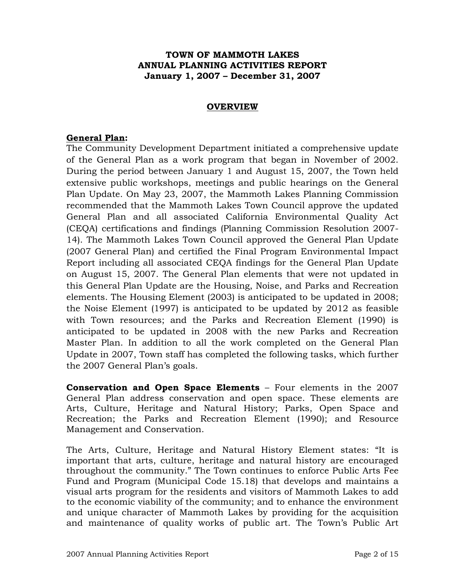### **TOWN OF MAMMOTH LAKES ANNUAL PLANNING ACTIVITIES REPORT January 1, 2007 – December 31, 2007**

#### **OVERVIEW**

#### **General Plan:**

The Community Development Department initiated a comprehensive update of the General Plan as a work program that began in November of 2002. During the period between January 1 and August 15, 2007, the Town held extensive public workshops, meetings and public hearings on the General Plan Update. On May 23, 2007, the Mammoth Lakes Planning Commission recommended that the Mammoth Lakes Town Council approve the updated General Plan and all associated California Environmental Quality Act (CEQA) certifications and findings (Planning Commission Resolution 2007- 14). The Mammoth Lakes Town Council approved the General Plan Update (2007 General Plan) and certified the Final Program Environmental Impact Report including all associated CEQA findings for the General Plan Update on August 15, 2007. The General Plan elements that were not updated in this General Plan Update are the Housing, Noise, and Parks and Recreation elements. The Housing Element (2003) is anticipated to be updated in 2008; the Noise Element (1997) is anticipated to be updated by 2012 as feasible with Town resources; and the Parks and Recreation Element (1990) is anticipated to be updated in 2008 with the new Parks and Recreation Master Plan. In addition to all the work completed on the General Plan Update in 2007, Town staff has completed the following tasks, which further the 2007 General Plan's goals.

**Conservation and Open Space Elements** – Four elements in the 2007 General Plan address conservation and open space. These elements are Arts, Culture, Heritage and Natural History; Parks, Open Space and Recreation; the Parks and Recreation Element (1990); and Resource Management and Conservation.

The Arts, Culture, Heritage and Natural History Element states: "It is important that arts, culture, heritage and natural history are encouraged throughout the community." The Town continues to enforce Public Arts Fee Fund and Program (Municipal Code 15.18) that develops and maintains a visual arts program for the residents and visitors of Mammoth Lakes to add to the economic viability of the community; and to enhance the environment and unique character of Mammoth Lakes by providing for the acquisition and maintenance of quality works of public art. The Town's Public Art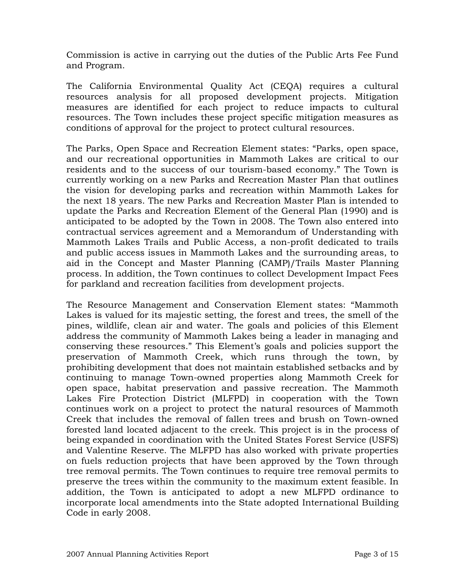Commission is active in carrying out the duties of the Public Arts Fee Fund and Program.

The California Environmental Quality Act (CEQA) requires a cultural resources analysis for all proposed development projects. Mitigation measures are identified for each project to reduce impacts to cultural resources. The Town includes these project specific mitigation measures as conditions of approval for the project to protect cultural resources.

The Parks, Open Space and Recreation Element states: "Parks, open space, and our recreational opportunities in Mammoth Lakes are critical to our residents and to the success of our tourism-based economy." The Town is currently working on a new Parks and Recreation Master Plan that outlines the vision for developing parks and recreation within Mammoth Lakes for the next 18 years. The new Parks and Recreation Master Plan is intended to update the Parks and Recreation Element of the General Plan (1990) and is anticipated to be adopted by the Town in 2008. The Town also entered into contractual services agreement and a Memorandum of Understanding with Mammoth Lakes Trails and Public Access, a non-profit dedicated to trails and public access issues in Mammoth Lakes and the surrounding areas, to aid in the Concept and Master Planning (CAMP)/Trails Master Planning process. In addition, the Town continues to collect Development Impact Fees for parkland and recreation facilities from development projects.

The Resource Management and Conservation Element states: "Mammoth Lakes is valued for its majestic setting, the forest and trees, the smell of the pines, wildlife, clean air and water. The goals and policies of this Element address the community of Mammoth Lakes being a leader in managing and conserving these resources." This Element's goals and policies support the preservation of Mammoth Creek, which runs through the town, by prohibiting development that does not maintain established setbacks and by continuing to manage Town-owned properties along Mammoth Creek for open space, habitat preservation and passive recreation. The Mammoth Lakes Fire Protection District (MLFPD) in cooperation with the Town continues work on a project to protect the natural resources of Mammoth Creek that includes the removal of fallen trees and brush on Town-owned forested land located adjacent to the creek. This project is in the process of being expanded in coordination with the United States Forest Service (USFS) and Valentine Reserve. The MLFPD has also worked with private properties on fuels reduction projects that have been approved by the Town through tree removal permits. The Town continues to require tree removal permits to preserve the trees within the community to the maximum extent feasible. In addition, the Town is anticipated to adopt a new MLFPD ordinance to incorporate local amendments into the State adopted International Building Code in early 2008.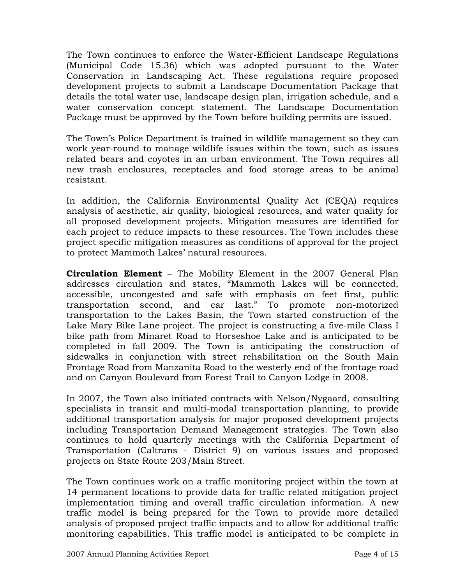The Town continues to enforce the Water-Efficient Landscape Regulations (Municipal Code 15.36) which was adopted pursuant to the Water Conservation in Landscaping Act. These regulations require proposed development projects to submit a Landscape Documentation Package that details the total water use, landscape design plan, irrigation schedule, and a water conservation concept statement. The Landscape Documentation Package must be approved by the Town before building permits are issued.

The Town's Police Department is trained in wildlife management so they can work year-round to manage wildlife issues within the town, such as issues related bears and coyotes in an urban environment. The Town requires all new trash enclosures, receptacles and food storage areas to be animal resistant.

In addition, the California Environmental Quality Act (CEQA) requires analysis of aesthetic, air quality, biological resources, and water quality for all proposed development projects. Mitigation measures are identified for each project to reduce impacts to these resources. The Town includes these project specific mitigation measures as conditions of approval for the project to protect Mammoth Lakes' natural resources.

**Circulation Element** – The Mobility Element in the 2007 General Plan addresses circulation and states, "Mammoth Lakes will be connected, accessible, uncongested and safe with emphasis on feet first, public transportation second, and car last." To promote non-motorized transportation to the Lakes Basin, the Town started construction of the Lake Mary Bike Lane project. The project is constructing a five-mile Class I bike path from Minaret Road to Horseshoe Lake and is anticipated to be completed in fall 2009. The Town is anticipating the construction of sidewalks in conjunction with street rehabilitation on the South Main Frontage Road from Manzanita Road to the westerly end of the frontage road and on Canyon Boulevard from Forest Trail to Canyon Lodge in 2008.

In 2007, the Town also initiated contracts with Nelson/Nygaard, consulting specialists in transit and multi-modal transportation planning, to provide additional transportation analysis for major proposed development projects including Transportation Demand Management strategies. The Town also continues to hold quarterly meetings with the California Department of Transportation (Caltrans - District 9) on various issues and proposed projects on State Route 203/Main Street.

The Town continues work on a traffic monitoring project within the town at 14 permanent locations to provide data for traffic related mitigation project implementation timing and overall traffic circulation information. A new traffic model is being prepared for the Town to provide more detailed analysis of proposed project traffic impacts and to allow for additional traffic monitoring capabilities. This traffic model is anticipated to be complete in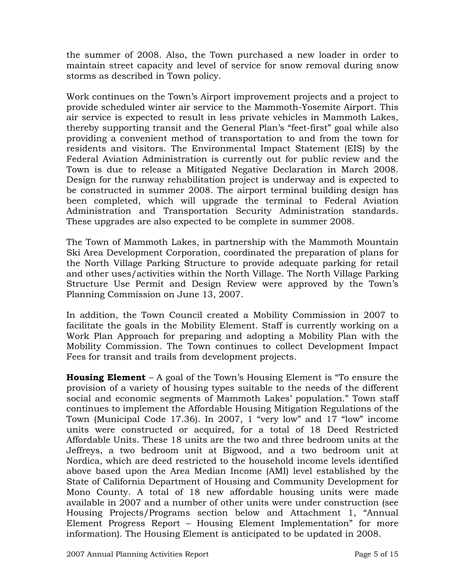the summer of 2008. Also, the Town purchased a new loader in order to maintain street capacity and level of service for snow removal during snow storms as described in Town policy.

Work continues on the Town's Airport improvement projects and a project to provide scheduled winter air service to the Mammoth-Yosemite Airport. This air service is expected to result in less private vehicles in Mammoth Lakes, thereby supporting transit and the General Plan's "feet-first" goal while also providing a convenient method of transportation to and from the town for residents and visitors. The Environmental Impact Statement (EIS) by the Federal Aviation Administration is currently out for public review and the Town is due to release a Mitigated Negative Declaration in March 2008. Design for the runway rehabilitation project is underway and is expected to be constructed in summer 2008. The airport terminal building design has been completed, which will upgrade the terminal to Federal Aviation Administration and Transportation Security Administration standards. These upgrades are also expected to be complete in summer 2008.

The Town of Mammoth Lakes, in partnership with the Mammoth Mountain Ski Area Development Corporation, coordinated the preparation of plans for the North Village Parking Structure to provide adequate parking for retail and other uses/activities within the North Village. The North Village Parking Structure Use Permit and Design Review were approved by the Town's Planning Commission on June 13, 2007.

In addition, the Town Council created a Mobility Commission in 2007 to facilitate the goals in the Mobility Element. Staff is currently working on a Work Plan Approach for preparing and adopting a Mobility Plan with the Mobility Commission. The Town continues to collect Development Impact Fees for transit and trails from development projects.

**Housing Element** – A goal of the Town's Housing Element is "To ensure the provision of a variety of housing types suitable to the needs of the different social and economic segments of Mammoth Lakes' population." Town staff continues to implement the Affordable Housing Mitigation Regulations of the Town (Municipal Code 17.36). In 2007, 1 "very low" and 17 "low" income units were constructed or acquired, for a total of 18 Deed Restricted Affordable Units. These 18 units are the two and three bedroom units at the Jeffreys, a two bedroom unit at Bigwood, and a two bedroom unit at Nordica, which are deed restricted to the household income levels identified above based upon the Area Median Income (AMI) level established by the State of California Department of Housing and Community Development for Mono County. A total of 18 new affordable housing units were made available in 2007 and a number of other units were under construction (see Housing Projects/Programs section below and Attachment 1, "Annual Element Progress Report – Housing Element Implementation" for more information). The Housing Element is anticipated to be updated in 2008.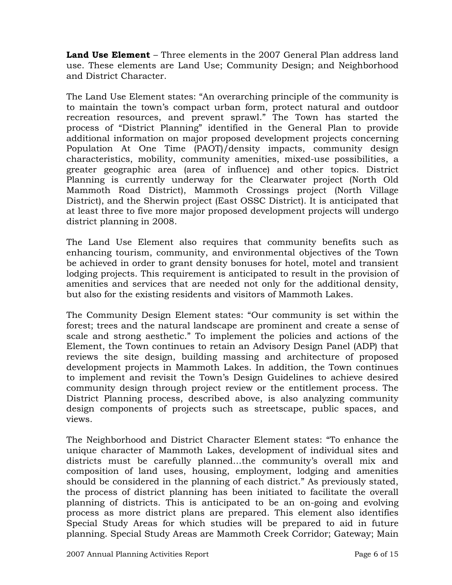**Land Use Element** – Three elements in the 2007 General Plan address land use. These elements are Land Use; Community Design; and Neighborhood and District Character.

The Land Use Element states: "An overarching principle of the community is to maintain the town's compact urban form, protect natural and outdoor recreation resources, and prevent sprawl." The Town has started the process of "District Planning" identified in the General Plan to provide additional information on major proposed development projects concerning Population At One Time (PAOT)/density impacts, community design characteristics, mobility, community amenities, mixed-use possibilities, a greater geographic area (area of influence) and other topics. District Planning is currently underway for the Clearwater project (North Old Mammoth Road District), Mammoth Crossings project (North Village District), and the Sherwin project (East OSSC District). It is anticipated that at least three to five more major proposed development projects will undergo district planning in 2008.

The Land Use Element also requires that community benefits such as enhancing tourism, community, and environmental objectives of the Town be achieved in order to grant density bonuses for hotel, motel and transient lodging projects. This requirement is anticipated to result in the provision of amenities and services that are needed not only for the additional density, but also for the existing residents and visitors of Mammoth Lakes.

The Community Design Element states: "Our community is set within the forest; trees and the natural landscape are prominent and create a sense of scale and strong aesthetic." To implement the policies and actions of the Element, the Town continues to retain an Advisory Design Panel (ADP) that reviews the site design, building massing and architecture of proposed development projects in Mammoth Lakes. In addition, the Town continues to implement and revisit the Town's Design Guidelines to achieve desired community design through project review or the entitlement process. The District Planning process, described above, is also analyzing community design components of projects such as streetscape, public spaces, and views.

The Neighborhood and District Character Element states: "To enhance the unique character of Mammoth Lakes, development of individual sites and districts must be carefully planned…the community's overall mix and composition of land uses, housing, employment, lodging and amenities should be considered in the planning of each district." As previously stated, the process of district planning has been initiated to facilitate the overall planning of districts. This is anticipated to be an on-going and evolving process as more district plans are prepared. This element also identifies Special Study Areas for which studies will be prepared to aid in future planning. Special Study Areas are Mammoth Creek Corridor; Gateway; Main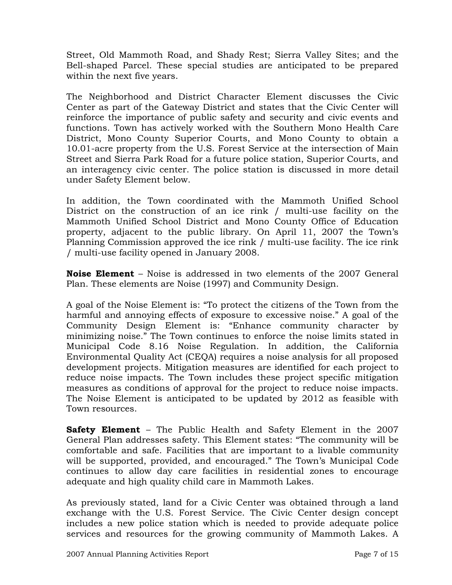Street, Old Mammoth Road, and Shady Rest; Sierra Valley Sites; and the Bell-shaped Parcel. These special studies are anticipated to be prepared within the next five years.

The Neighborhood and District Character Element discusses the Civic Center as part of the Gateway District and states that the Civic Center will reinforce the importance of public safety and security and civic events and functions. Town has actively worked with the Southern Mono Health Care District, Mono County Superior Courts, and Mono County to obtain a 10.01-acre property from the U.S. Forest Service at the intersection of Main Street and Sierra Park Road for a future police station, Superior Courts, and an interagency civic center. The police station is discussed in more detail under Safety Element below.

In addition, the Town coordinated with the Mammoth Unified School District on the construction of an ice rink / multi-use facility on the Mammoth Unified School District and Mono County Office of Education property, adjacent to the public library. On April 11, 2007 the Town's Planning Commission approved the ice rink / multi-use facility. The ice rink / multi-use facility opened in January 2008.

**Noise Element** – Noise is addressed in two elements of the 2007 General Plan. These elements are Noise (1997) and Community Design.

A goal of the Noise Element is: "To protect the citizens of the Town from the harmful and annoying effects of exposure to excessive noise." A goal of the Community Design Element is: "Enhance community character by minimizing noise." The Town continues to enforce the noise limits stated in Municipal Code 8.16 Noise Regulation. In addition, the California Environmental Quality Act (CEQA) requires a noise analysis for all proposed development projects. Mitigation measures are identified for each project to reduce noise impacts. The Town includes these project specific mitigation measures as conditions of approval for the project to reduce noise impacts. The Noise Element is anticipated to be updated by 2012 as feasible with Town resources.

**Safety Element** – The Public Health and Safety Element in the 2007 General Plan addresses safety. This Element states: "The community will be comfortable and safe. Facilities that are important to a livable community will be supported, provided, and encouraged." The Town's Municipal Code continues to allow day care facilities in residential zones to encourage adequate and high quality child care in Mammoth Lakes.

As previously stated, land for a Civic Center was obtained through a land exchange with the U.S. Forest Service. The Civic Center design concept includes a new police station which is needed to provide adequate police services and resources for the growing community of Mammoth Lakes. A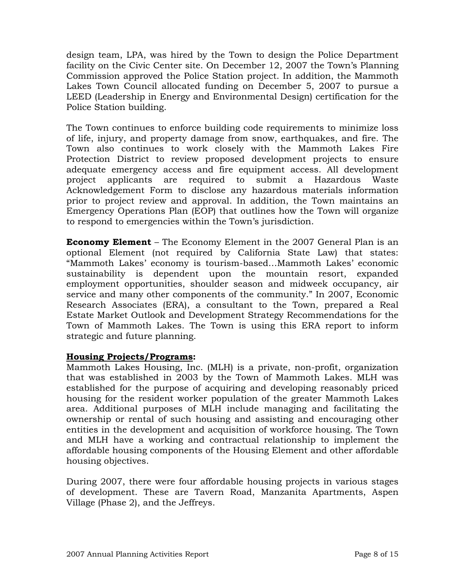design team, LPA, was hired by the Town to design the Police Department facility on the Civic Center site. On December 12, 2007 the Town's Planning Commission approved the Police Station project. In addition, the Mammoth Lakes Town Council allocated funding on December 5, 2007 to pursue a LEED (Leadership in Energy and Environmental Design) certification for the Police Station building.

The Town continues to enforce building code requirements to minimize loss of life, injury, and property damage from snow, earthquakes, and fire. The Town also continues to work closely with the Mammoth Lakes Fire Protection District to review proposed development projects to ensure adequate emergency access and fire equipment access. All development project applicants are required to submit a Hazardous Waste Acknowledgement Form to disclose any hazardous materials information prior to project review and approval. In addition, the Town maintains an Emergency Operations Plan (EOP) that outlines how the Town will organize to respond to emergencies within the Town's jurisdiction.

**Economy Element** – The Economy Element in the 2007 General Plan is an optional Element (not required by California State Law) that states: "Mammoth Lakes' economy is tourism-based…Mammoth Lakes' economic sustainability is dependent upon the mountain resort, expanded employment opportunities, shoulder season and midweek occupancy, air service and many other components of the community." In 2007, Economic Research Associates (ERA), a consultant to the Town, prepared a Real Estate Market Outlook and Development Strategy Recommendations for the Town of Mammoth Lakes. The Town is using this ERA report to inform strategic and future planning.

### **Housing Projects/Programs:**

Mammoth Lakes Housing, Inc. (MLH) is a private, non-profit, organization that was established in 2003 by the Town of Mammoth Lakes. MLH was established for the purpose of acquiring and developing reasonably priced housing for the resident worker population of the greater Mammoth Lakes area. Additional purposes of MLH include managing and facilitating the ownership or rental of such housing and assisting and encouraging other entities in the development and acquisition of workforce housing. The Town and MLH have a working and contractual relationship to implement the affordable housing components of the Housing Element and other affordable housing objectives.

During 2007, there were four affordable housing projects in various stages of development. These are Tavern Road, Manzanita Apartments, Aspen Village (Phase 2), and the Jeffreys.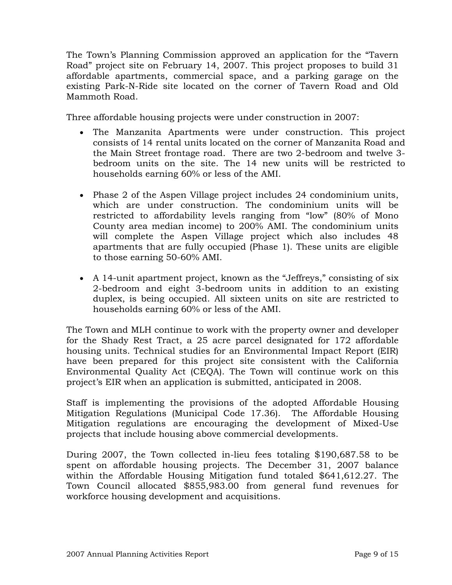The Town's Planning Commission approved an application for the "Tavern Road" project site on February 14, 2007. This project proposes to build 31 affordable apartments, commercial space, and a parking garage on the existing Park-N-Ride site located on the corner of Tavern Road and Old Mammoth Road.

Three affordable housing projects were under construction in 2007:

- The Manzanita Apartments were under construction. This project consists of 14 rental units located on the corner of Manzanita Road and the Main Street frontage road. There are two 2-bedroom and twelve 3 bedroom units on the site. The 14 new units will be restricted to households earning 60% or less of the AMI.
- Phase 2 of the Aspen Village project includes 24 condominium units, which are under construction. The condominium units will be restricted to affordability levels ranging from "low" (80% of Mono County area median income) to 200% AMI. The condominium units will complete the Aspen Village project which also includes 48 apartments that are fully occupied (Phase 1). These units are eligible to those earning 50-60% AMI.
- A 14-unit apartment project, known as the "Jeffreys," consisting of six 2-bedroom and eight 3-bedroom units in addition to an existing duplex, is being occupied. All sixteen units on site are restricted to households earning 60% or less of the AMI.

The Town and MLH continue to work with the property owner and developer for the Shady Rest Tract, a 25 acre parcel designated for 172 affordable housing units. Technical studies for an Environmental Impact Report (EIR) have been prepared for this project site consistent with the California Environmental Quality Act (CEQA). The Town will continue work on this project's EIR when an application is submitted, anticipated in 2008.

Staff is implementing the provisions of the adopted Affordable Housing Mitigation Regulations (Municipal Code 17.36). The Affordable Housing Mitigation regulations are encouraging the development of Mixed-Use projects that include housing above commercial developments.

During 2007, the Town collected in-lieu fees totaling \$190,687.58 to be spent on affordable housing projects. The December 31, 2007 balance within the Affordable Housing Mitigation fund totaled \$641,612.27. The Town Council allocated \$855,983.00 from general fund revenues for workforce housing development and acquisitions.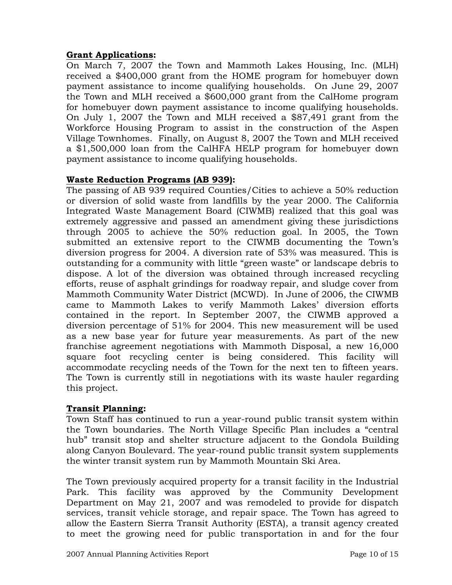### **Grant Applications:**

On March 7, 2007 the Town and Mammoth Lakes Housing, Inc. (MLH) received a \$400,000 grant from the HOME program for homebuyer down payment assistance to income qualifying households. On June 29, 2007 the Town and MLH received a \$600,000 grant from the CalHome program for homebuyer down payment assistance to income qualifying households. On July 1, 2007 the Town and MLH received a \$87,491 grant from the Workforce Housing Program to assist in the construction of the Aspen Village Townhomes. Finally, on August 8, 2007 the Town and MLH received a \$1,500,000 loan from the CalHFA HELP program for homebuyer down payment assistance to income qualifying households.

## **Waste Reduction Programs (AB 939):**

The passing of AB 939 required Counties/Cities to achieve a 50% reduction or diversion of solid waste from landfills by the year 2000. The California Integrated Waste Management Board (CIWMB) realized that this goal was extremely aggressive and passed an amendment giving these jurisdictions through 2005 to achieve the 50% reduction goal. In 2005, the Town submitted an extensive report to the CIWMB documenting the Town's diversion progress for 2004. A diversion rate of 53% was measured. This is outstanding for a community with little "green waste" or landscape debris to dispose. A lot of the diversion was obtained through increased recycling efforts, reuse of asphalt grindings for roadway repair, and sludge cover from Mammoth Community Water District (MCWD). In June of 2006, the CIWMB came to Mammoth Lakes to verify Mammoth Lakes' diversion efforts contained in the report. In September 2007, the CIWMB approved a diversion percentage of 51% for 2004. This new measurement will be used as a new base year for future year measurements. As part of the new franchise agreement negotiations with Mammoth Disposal, a new 16,000 square foot recycling center is being considered. This facility will accommodate recycling needs of the Town for the next ten to fifteen years. The Town is currently still in negotiations with its waste hauler regarding this project.

### **Transit Planning:**

Town Staff has continued to run a year-round public transit system within the Town boundaries. The North Village Specific Plan includes a "central hub" transit stop and shelter structure adjacent to the Gondola Building along Canyon Boulevard. The year-round public transit system supplements the winter transit system run by Mammoth Mountain Ski Area.

The Town previously acquired property for a transit facility in the Industrial Park. This facility was approved by the Community Development Department on May 21, 2007 and was remodeled to provide for dispatch services, transit vehicle storage, and repair space. The Town has agreed to allow the Eastern Sierra Transit Authority (ESTA), a transit agency created to meet the growing need for public transportation in and for the four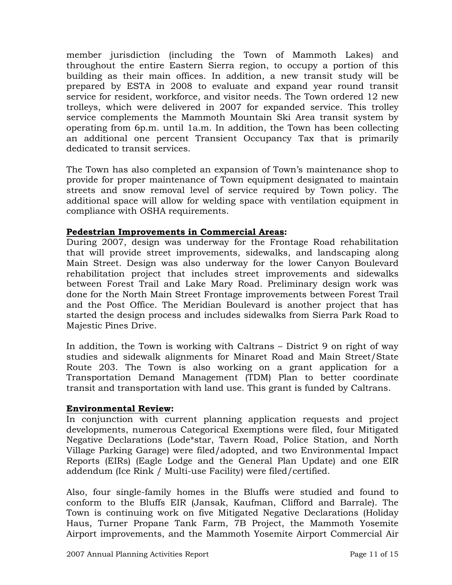member jurisdiction (including the Town of Mammoth Lakes) and throughout the entire Eastern Sierra region, to occupy a portion of this building as their main offices. In addition, a new transit study will be prepared by ESTA in 2008 to evaluate and expand year round transit service for resident, workforce, and visitor needs. The Town ordered 12 new trolleys, which were delivered in 2007 for expanded service. This trolley service complements the Mammoth Mountain Ski Area transit system by operating from 6p.m. until 1a.m. In addition, the Town has been collecting an additional one percent Transient Occupancy Tax that is primarily dedicated to transit services.

The Town has also completed an expansion of Town's maintenance shop to provide for proper maintenance of Town equipment designated to maintain streets and snow removal level of service required by Town policy. The additional space will allow for welding space with ventilation equipment in compliance with OSHA requirements.

### **Pedestrian Improvements in Commercial Areas:**

During 2007, design was underway for the Frontage Road rehabilitation that will provide street improvements, sidewalks, and landscaping along Main Street. Design was also underway for the lower Canyon Boulevard rehabilitation project that includes street improvements and sidewalks between Forest Trail and Lake Mary Road. Preliminary design work was done for the North Main Street Frontage improvements between Forest Trail and the Post Office. The Meridian Boulevard is another project that has started the design process and includes sidewalks from Sierra Park Road to Majestic Pines Drive.

In addition, the Town is working with Caltrans – District 9 on right of way studies and sidewalk alignments for Minaret Road and Main Street/State Route 203. The Town is also working on a grant application for a Transportation Demand Management (TDM) Plan to better coordinate transit and transportation with land use. This grant is funded by Caltrans.

### **Environmental Review:**

In conjunction with current planning application requests and project developments, numerous Categorical Exemptions were filed, four Mitigated Negative Declarations (Lode\*star, Tavern Road, Police Station, and North Village Parking Garage) were filed/adopted, and two Environmental Impact Reports (EIRs) (Eagle Lodge and the General Plan Update) and one EIR addendum (Ice Rink / Multi-use Facility) were filed/certified.

Also, four single-family homes in the Bluffs were studied and found to conform to the Bluffs EIR (Jansak, Kaufman, Clifford and Barrale). The Town is continuing work on five Mitigated Negative Declarations (Holiday Haus, Turner Propane Tank Farm, 7B Project, the Mammoth Yosemite Airport improvements, and the Mammoth Yosemite Airport Commercial Air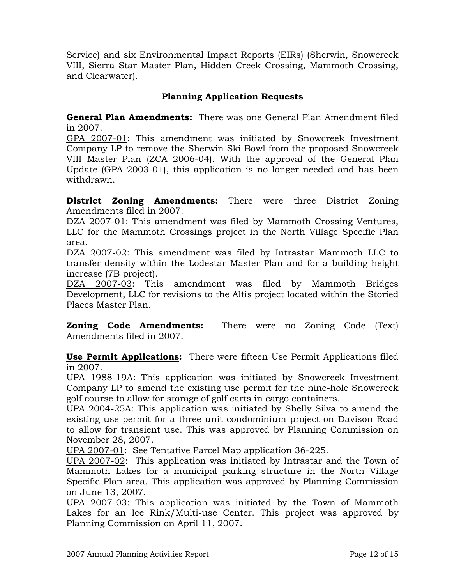Service) and six Environmental Impact Reports (EIRs) (Sherwin, Snowcreek VIII, Sierra Star Master Plan, Hidden Creek Crossing, Mammoth Crossing, and Clearwater).

## **Planning Application Requests**

**General Plan Amendments:** There was one General Plan Amendment filed in 2007.

GPA 2007-01: This amendment was initiated by Snowcreek Investment Company LP to remove the Sherwin Ski Bowl from the proposed Snowcreek VIII Master Plan (ZCA 2006-04). With the approval of the General Plan Update (GPA 2003-01), this application is no longer needed and has been withdrawn.

**District Zoning Amendments:** There were three District Zoning Amendments filed in 2007.

DZA 2007-01: This amendment was filed by Mammoth Crossing Ventures, LLC for the Mammoth Crossings project in the North Village Specific Plan area.

DZA 2007-02: This amendment was filed by Intrastar Mammoth LLC to transfer density within the Lodestar Master Plan and for a building height increase (7B project).

DZA 2007-03: This amendment was filed by Mammoth Bridges Development, LLC for revisions to the Altis project located within the Storied Places Master Plan.

**Zoning Code Amendments:** There were no Zoning Code (Text) Amendments filed in 2007.

**Use Permit Applications:** There were fifteen Use Permit Applications filed in 2007.

UPA 1988-19A: This application was initiated by Snowcreek Investment Company LP to amend the existing use permit for the nine-hole Snowcreek golf course to allow for storage of golf carts in cargo containers.

UPA 2004-25A: This application was initiated by Shelly Silva to amend the existing use permit for a three unit condominium project on Davison Road to allow for transient use. This was approved by Planning Commission on November 28, 2007.

UPA 2007-01: See Tentative Parcel Map application 36-225.

UPA 2007-02: This application was initiated by Intrastar and the Town of Mammoth Lakes for a municipal parking structure in the North Village Specific Plan area. This application was approved by Planning Commission on June 13, 2007.

UPA 2007-03: This application was initiated by the Town of Mammoth Lakes for an Ice Rink/Multi-use Center. This project was approved by Planning Commission on April 11, 2007.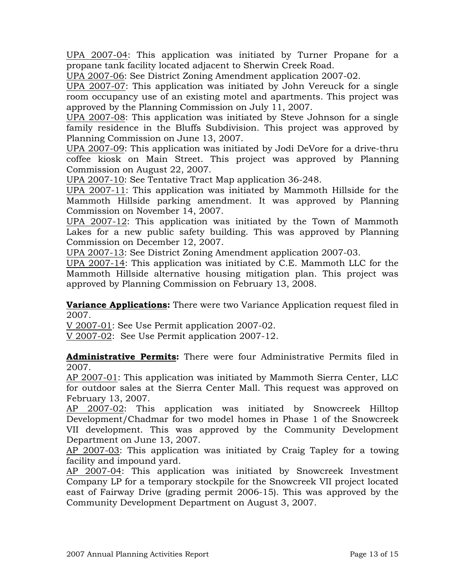UPA 2007-04: This application was initiated by Turner Propane for a propane tank facility located adjacent to Sherwin Creek Road.

UPA 2007-06: See District Zoning Amendment application 2007-02.

UPA 2007-07: This application was initiated by John Vereuck for a single room occupancy use of an existing motel and apartments. This project was approved by the Planning Commission on July 11, 2007.

UPA 2007-08: This application was initiated by Steve Johnson for a single family residence in the Bluffs Subdivision. This project was approved by Planning Commission on June 13, 2007.

UPA 2007-09: This application was initiated by Jodi DeVore for a drive-thru coffee kiosk on Main Street. This project was approved by Planning Commission on August 22, 2007.

UPA 2007-10: See Tentative Tract Map application 36-248.

UPA 2007-11: This application was initiated by Mammoth Hillside for the Mammoth Hillside parking amendment. It was approved by Planning Commission on November 14, 2007.

UPA 2007-12: This application was initiated by the Town of Mammoth Lakes for a new public safety building. This was approved by Planning Commission on December 12, 2007.

UPA 2007-13: See District Zoning Amendment application 2007-03.

UPA 2007-14: This application was initiated by C.E. Mammoth LLC for the Mammoth Hillside alternative housing mitigation plan. This project was approved by Planning Commission on February 13, 2008.

**Variance Applications:** There were two Variance Application request filed in 2007.

V 2007-01: See Use Permit application 2007-02.

V 2007-02: See Use Permit application 2007-12.

**Administrative Permits:** There were four Administrative Permits filed in 2007.

AP 2007-01: This application was initiated by Mammoth Sierra Center, LLC for outdoor sales at the Sierra Center Mall. This request was approved on February 13, 2007.

AP 2007-02: This application was initiated by Snowcreek Hilltop Development/Chadmar for two model homes in Phase 1 of the Snowcreek VII development. This was approved by the Community Development Department on June 13, 2007.

AP 2007-03: This application was initiated by Craig Tapley for a towing facility and impound yard.

AP 2007-04: This application was initiated by Snowcreek Investment Company LP for a temporary stockpile for the Snowcreek VII project located east of Fairway Drive (grading permit 2006-15). This was approved by the Community Development Department on August 3, 2007.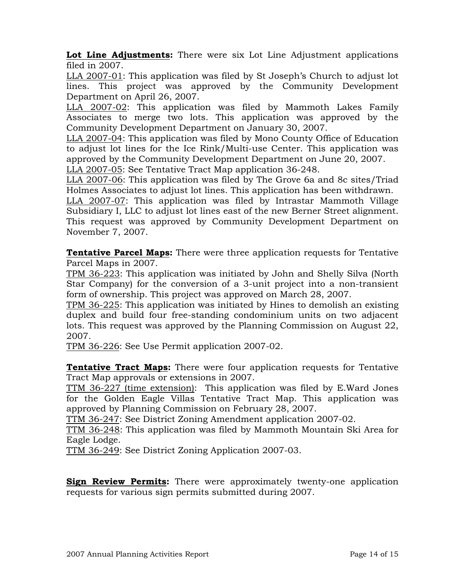**Lot Line Adjustments:** There were six Lot Line Adjustment applications filed in 2007.

LLA 2007-01: This application was filed by St Joseph's Church to adjust lot lines. This project was approved by the Community Development Department on April 26, 2007.

LLA 2007-02: This application was filed by Mammoth Lakes Family Associates to merge two lots. This application was approved by the Community Development Department on January 30, 2007.

LLA 2007-04: This application was filed by Mono County Office of Education to adjust lot lines for the Ice Rink/Multi-use Center. This application was approved by the Community Development Department on June 20, 2007. LLA 2007-05: See Tentative Tract Map application 36-248.

LLA 2007-06: This application was filed by The Grove 6a and 8c sites/Triad Holmes Associates to adjust lot lines. This application has been withdrawn.

LLA 2007-07: This application was filed by Intrastar Mammoth Village Subsidiary I, LLC to adjust lot lines east of the new Berner Street alignment. This request was approved by Community Development Department on November 7, 2007.

**Tentative Parcel Maps:** There were three application requests for Tentative Parcel Maps in 2007.

TPM 36-223: This application was initiated by John and Shelly Silva (North Star Company) for the conversion of a 3-unit project into a non-transient form of ownership. This project was approved on March 28, 2007.

TPM 36-225: This application was initiated by Hines to demolish an existing duplex and build four free-standing condominium units on two adjacent lots. This request was approved by the Planning Commission on August 22, 2007.

TPM 36-226: See Use Permit application 2007-02.

**Tentative Tract Maps:** There were four application requests for Tentative Tract Map approvals or extensions in 2007.

TTM 36-227 (time extension): This application was filed by E.Ward Jones for the Golden Eagle Villas Tentative Tract Map. This application was approved by Planning Commission on February 28, 2007.

TTM 36-247: See District Zoning Amendment application 2007-02.

TTM 36-248: This application was filed by Mammoth Mountain Ski Area for Eagle Lodge.

TTM 36-249: See District Zoning Application 2007-03.

**Sign Review Permits:** There were approximately twenty-one application requests for various sign permits submitted during 2007.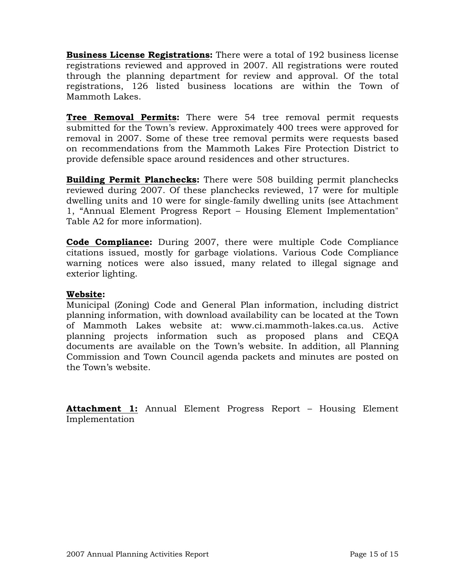**Business License Registrations:** There were a total of 192 business license registrations reviewed and approved in 2007. All registrations were routed through the planning department for review and approval. Of the total registrations, 126 listed business locations are within the Town of Mammoth Lakes.

**Tree Removal Permits:** There were 54 tree removal permit requests submitted for the Town's review. Approximately 400 trees were approved for removal in 2007. Some of these tree removal permits were requests based on recommendations from the Mammoth Lakes Fire Protection District to provide defensible space around residences and other structures.

**Building Permit Planchecks:** There were 508 building permit planchecks reviewed during 2007. Of these planchecks reviewed, 17 were for multiple dwelling units and 10 were for single-family dwelling units (see Attachment 1, "Annual Element Progress Report – Housing Element Implementation" Table A2 for more information).

**Code Compliance:** During 2007, there were multiple Code Compliance citations issued, mostly for garbage violations. Various Code Compliance warning notices were also issued, many related to illegal signage and exterior lighting.

### **Website:**

Municipal (Zoning) Code and General Plan information, including district planning information, with download availability can be located at the Town of Mammoth Lakes website at: www.ci.mammoth-lakes.ca.us. Active planning projects information such as proposed plans and CEQA documents are available on the Town's website. In addition, all Planning Commission and Town Council agenda packets and minutes are posted on the Town's website.

**Attachment 1:** Annual Element Progress Report – Housing Element Implementation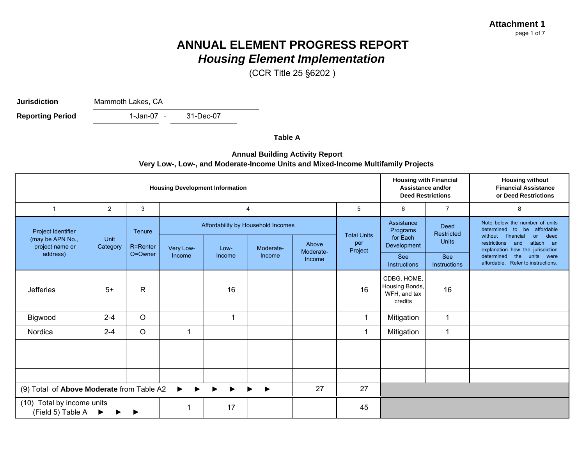**Attachment 1**page 1 of 7

# **ANNUAL ELEMENT PROGRESS REPORT***Housing Element Implementation*

(CCR Title 25 §6202 )

**Jurisdiction**

Mammoth Lakes, CA

1-Jan-07 -31-Dec-07**Reporting Period** 

**Table A**

#### **Annual Building Activity Report Very Low-, Low-, and Moderate-Income Units and Mixed-Income Multifamily Projects**

| <b>Housing Development Information</b>          |                  |              |                                    |        |                |                     |                        | <b>Housing with Financial</b><br>Assistance and/or<br><b>Deed Restrictions</b> |                                                                  | <b>Housing without</b><br><b>Financial Assistance</b><br>or Deed Restrictions                                                                                                    |
|-------------------------------------------------|------------------|--------------|------------------------------------|--------|----------------|---------------------|------------------------|--------------------------------------------------------------------------------|------------------------------------------------------------------|----------------------------------------------------------------------------------------------------------------------------------------------------------------------------------|
| 1                                               | 2                | 3            |                                    |        | $\overline{4}$ |                     | 5                      | 6                                                                              | $\overline{7}$                                                   | 8                                                                                                                                                                                |
| Project Identifier                              |                  | Tenure       | Affordability by Household Incomes |        |                | <b>Total Units</b>  | Assistance<br>Programs | <b>Deed</b><br><b>Restricted</b>                                               | Note below the number of units<br>be affordable<br>determined to |                                                                                                                                                                                  |
| (may be APN No.,<br>project name or             | Unit<br>Category | R=Renter     | Very Low-                          | Low-   | Moderate-      | Above               | per<br>Project         | for Each<br>Development                                                        | <b>Units</b>                                                     | or deed<br>without<br>financial<br>restrictions<br>attach an<br>and<br>explanation how the jurisdiction<br>determined<br>the<br>units were<br>affordable. Refer to instructions. |
| address)                                        |                  | O=Owner      | Income                             | Income | Income         | Moderate-<br>Income |                        | See<br>Instructions                                                            | <b>See</b><br><b>Instructions</b>                                |                                                                                                                                                                                  |
| <b>Jefferies</b>                                | $5+$             | $\mathsf{R}$ |                                    | 16     |                |                     | 16                     | CDBG, HOME,<br>Housing Bonds,<br>WFH, and tax<br>credits                       | 16                                                               |                                                                                                                                                                                  |
| Bigwood                                         | $2 - 4$          | $\circ$      |                                    |        |                |                     | 1                      | Mitigation                                                                     | 1                                                                |                                                                                                                                                                                  |
| Nordica                                         | $2 - 4$          | $\circ$      |                                    |        |                |                     | 1                      | Mitigation                                                                     | 1                                                                |                                                                                                                                                                                  |
|                                                 |                  |              |                                    |        |                |                     |                        |                                                                                |                                                                  |                                                                                                                                                                                  |
|                                                 |                  |              |                                    |        |                |                     |                        |                                                                                |                                                                  |                                                                                                                                                                                  |
|                                                 |                  |              |                                    |        |                |                     |                        |                                                                                |                                                                  |                                                                                                                                                                                  |
| (9) Total of Above Moderate from Table A2<br>▶  |                  |              | 27                                 | 27     |                |                     |                        |                                                                                |                                                                  |                                                                                                                                                                                  |
| (10) Total by income units<br>(Field 5) Table A | ▶                |              |                                    | 17     |                |                     | 45                     |                                                                                |                                                                  |                                                                                                                                                                                  |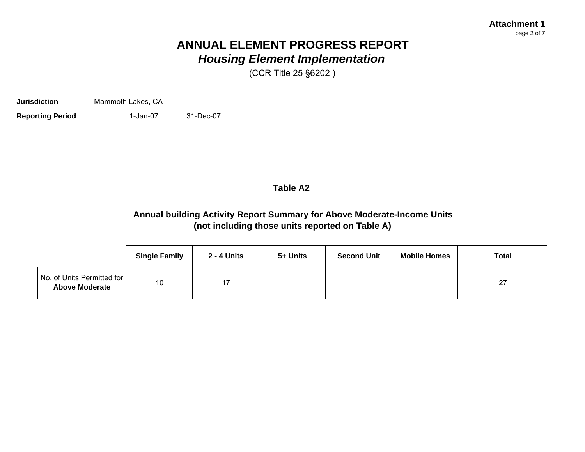#### **Attachment 1**page 2 of 7

# **ANNUAL ELEMENT PROGRESS REPORT***Housing Element Implementation*

(CCR Title 25 §6202 )

**Jurisdiction**Mammoth Lakes, CA

**Reporting Period** 

1-Jan-07 -31-Dec-07

## **Table A2**

# **Annual building Activity Report Summary for Above Moderate-Income Units (not including those units reported on Table A)**

|                                                     | <b>Single Family</b> | <b>2 - 4 Units</b> | 5+ Units | <b>Second Unit</b> | <b>Mobile Homes</b> | <b>Total</b> |
|-----------------------------------------------------|----------------------|--------------------|----------|--------------------|---------------------|--------------|
| No. of Units Permitted for<br><b>Above Moderate</b> | 10                   | דו                 |          |                    |                     | 27           |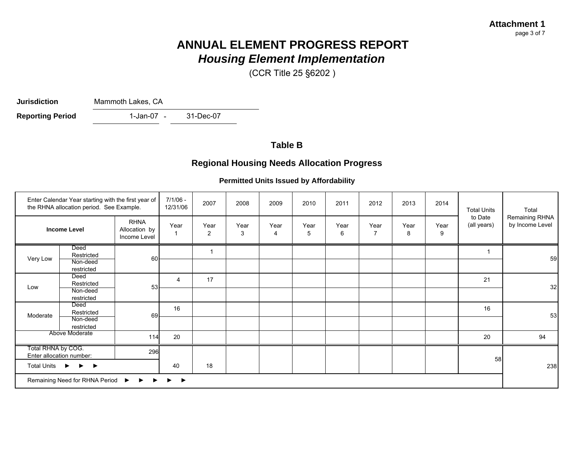# **ANNUAL ELEMENT PROGRESS REPORT***Housing Element Implementation*

(CCR Title 25 §6202 )

**Jurisdiction**

Mammoth Lakes, CA

1-Jan-07 - 31-Dec-07 **Reporting Period** 

### **Table B**

## **Regional Housing Needs Allocation Progress**

#### **Permitted Units Issued by Affordability**

|                                                                                            | Enter Calendar Year starting with the first year of<br>the RHNA allocation period. See Example. |                                              | $7/1/06 -$<br>12/31/06 | 2007                   | 2008      | 2009      | 2010      | 2011      | 2012      | 2013      | 2014      | <b>Total Units</b>     | Total                             |
|--------------------------------------------------------------------------------------------|-------------------------------------------------------------------------------------------------|----------------------------------------------|------------------------|------------------------|-----------|-----------|-----------|-----------|-----------|-----------|-----------|------------------------|-----------------------------------|
|                                                                                            | <b>Income Level</b>                                                                             | <b>RHNA</b><br>Allocation by<br>Income Level | Year                   | Year<br>$\overline{2}$ | Year<br>3 | Year<br>4 | Year<br>5 | Year<br>6 | Year<br>7 | Year<br>8 | Year<br>9 | to Date<br>(all years) | Remaining RHNA<br>by Income Level |
|                                                                                            | Deed<br>Restricted                                                                              |                                              |                        |                        |           |           |           |           |           |           |           |                        |                                   |
| Very Low                                                                                   | Non-deed<br>restricted                                                                          | 60                                           |                        |                        |           |           |           |           |           |           |           |                        | 59                                |
|                                                                                            | Deed<br>Restricted                                                                              | 53                                           | 4                      | 17                     |           |           |           |           |           |           |           | 21                     |                                   |
| Low                                                                                        | Non-deed<br>restricted                                                                          |                                              |                        |                        |           |           |           |           |           |           |           |                        | 32                                |
|                                                                                            | Deed<br>Restricted                                                                              |                                              | 16                     |                        |           |           |           |           |           |           |           | 16                     |                                   |
| Moderate                                                                                   | Non-deed<br>restricted                                                                          | 69                                           |                        |                        |           |           |           |           |           |           |           |                        | 53                                |
|                                                                                            | Above Moderate                                                                                  | 114                                          | 20                     |                        |           |           |           |           |           |           |           | 20                     | 94                                |
| Total RHNA by COG.                                                                         | Enter allocation number:                                                                        | 296                                          |                        |                        |           |           |           |           |           |           |           |                        |                                   |
| Total Units ▶                                                                              | $\blacktriangleright$                                                                           |                                              | 40                     | 18                     |           |           |           |           |           |           |           | 58                     | 238                               |
| Remaining Need for RHNA Period<br>$\blacktriangleright$<br>$\blacktriangleright$<br>▸<br>▶ |                                                                                                 |                                              |                        |                        |           |           |           |           |           |           |           |                        |                                   |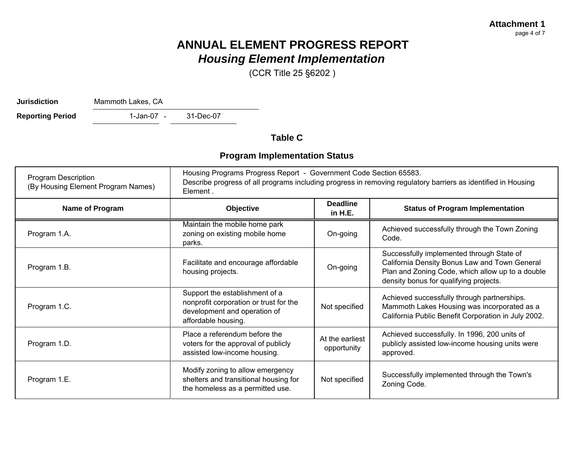# **ANNUAL ELEMENT PROGRESS REPORT***Housing Element Implementation*

(CCR Title 25 §6202 )

**Jurisdiction**

Mammoth Lakes, CA

1-Jan-07 - 31-Dec-07 **Reporting Period** 

**Table C**

## **Program Implementation Status**

| <b>Program Description</b><br>(By Housing Element Program Names) | Housing Programs Progress Report - Government Code Section 65583.<br>Describe progress of all programs including progress in removing regulatory barriers as identified in Housing<br>Element. |                                |                                                                                                                                                                                          |  |  |  |  |  |
|------------------------------------------------------------------|------------------------------------------------------------------------------------------------------------------------------------------------------------------------------------------------|--------------------------------|------------------------------------------------------------------------------------------------------------------------------------------------------------------------------------------|--|--|--|--|--|
| Name of Program                                                  | Objective                                                                                                                                                                                      | <b>Deadline</b><br>in H.E.     | <b>Status of Program Implementation</b>                                                                                                                                                  |  |  |  |  |  |
| Program 1.A.                                                     | Maintain the mobile home park<br>zoning on existing mobile home<br>parks.                                                                                                                      | On-going                       | Achieved successfully through the Town Zoning<br>Code.                                                                                                                                   |  |  |  |  |  |
| Program 1.B.                                                     | Facilitate and encourage affordable<br>housing projects.                                                                                                                                       | On-going                       | Successfully implemented through State of<br>California Density Bonus Law and Town General<br>Plan and Zoning Code, which allow up to a double<br>density bonus for qualifying projects. |  |  |  |  |  |
| Program 1.C.                                                     | Support the establishment of a<br>nonprofit corporation or trust for the<br>development and operation of<br>affordable housing.                                                                | Not specified                  | Achieved successfully through partnerships.<br>Mammoth Lakes Housing was incorporated as a<br>California Public Benefit Corporation in July 2002.                                        |  |  |  |  |  |
| Program 1.D.                                                     | Place a referendum before the<br>voters for the approval of publicly<br>assisted low-income housing.                                                                                           | At the earliest<br>opportunity | Achieved successfully. In 1996, 200 units of<br>publicly assisted low-income housing units were<br>approved.                                                                             |  |  |  |  |  |
| Program 1.E.                                                     | Modify zoning to allow emergency<br>shelters and transitional housing for<br>the homeless as a permitted use.                                                                                  | Not specified                  | Successfully implemented through the Town's<br>Zoning Code.                                                                                                                              |  |  |  |  |  |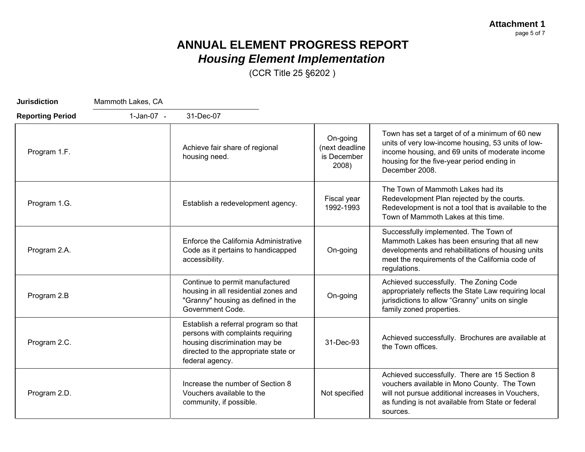**Attachment 1** page 5 of 7

# **ANNUAL ELEMENT PROGRESS REPORT** *Housing Element Implementation*

(CCR Title 25 §6202 )

| <b>Jurisdiction</b>     | Mammoth Lakes, CA |                                                                                                                                                                       |                                                    |                                                                                                                                                                                                                          |
|-------------------------|-------------------|-----------------------------------------------------------------------------------------------------------------------------------------------------------------------|----------------------------------------------------|--------------------------------------------------------------------------------------------------------------------------------------------------------------------------------------------------------------------------|
| <b>Reporting Period</b> | $1-Jan-07 -$      | 31-Dec-07                                                                                                                                                             |                                                    |                                                                                                                                                                                                                          |
| Program 1.F.            |                   | Achieve fair share of regional<br>housing need.                                                                                                                       | On-going<br>(next deadline<br>is December<br>2008) | Town has set a target of of a minimum of 60 new<br>units of very low-income housing, 53 units of low-<br>income housing, and 69 units of moderate income<br>housing for the five-year period ending in<br>December 2008. |
| Program 1.G.            |                   | Establish a redevelopment agency.                                                                                                                                     | Fiscal year<br>1992-1993                           | The Town of Mammoth Lakes had its<br>Redevelopment Plan rejected by the courts.<br>Redevelopment is not a tool that is available to the<br>Town of Mammoth Lakes at this time.                                           |
| Program 2.A.            |                   | Enforce the California Administrative<br>Code as it pertains to handicapped<br>accessibility.                                                                         | On-going                                           | Successfully implemented. The Town of<br>Mammoth Lakes has been ensuring that all new<br>developments and rehabilitations of housing units<br>meet the requirements of the California code of<br>regulations.            |
| Program 2.B             |                   | Continue to permit manufactured<br>housing in all residential zones and<br>"Granny" housing as defined in the<br>Government Code.                                     | On-going                                           | Achieved successfully. The Zoning Code<br>appropriately reflects the State Law requiring local<br>jurisdictions to allow "Granny" units on single<br>family zoned properties.                                            |
| Program 2.C.            |                   | Establish a referral program so that<br>persons with complaints requiring<br>housing discrimination may be<br>directed to the appropriate state or<br>federal agency. | 31-Dec-93                                          | Achieved successfully. Brochures are available at<br>the Town offices.                                                                                                                                                   |
| Program 2.D.            |                   | Increase the number of Section 8<br>Vouchers available to the<br>community, if possible.                                                                              | Not specified                                      | Achieved successfully. There are 15 Section 8<br>vouchers available in Mono County. The Town<br>will not pursue additional increases in Vouchers,<br>as funding is not available from State or federal<br>sources.       |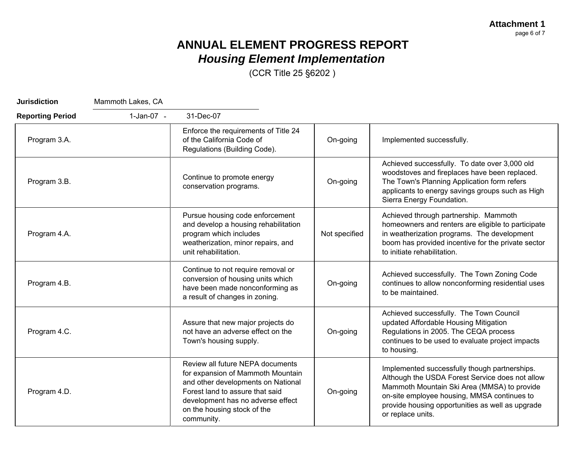**Attachment 1** page 6 of 7

# **ANNUAL ELEMENT PROGRESS REPORT** *Housing Element Implementation*

(CCR Title 25 §6202 )

| <b>Jurisdiction</b>     | Mammoth Lakes, CA |                                                                                                                                                                                                                                  |               |                                                                                                                                                                                                                                                                         |
|-------------------------|-------------------|----------------------------------------------------------------------------------------------------------------------------------------------------------------------------------------------------------------------------------|---------------|-------------------------------------------------------------------------------------------------------------------------------------------------------------------------------------------------------------------------------------------------------------------------|
| <b>Reporting Period</b> | 1-Jan-07 -        | 31-Dec-07                                                                                                                                                                                                                        |               |                                                                                                                                                                                                                                                                         |
| Program 3.A.            |                   | Enforce the requirements of Title 24<br>of the California Code of<br>Regulations (Building Code).                                                                                                                                | On-going      | Implemented successfully.                                                                                                                                                                                                                                               |
| Program 3.B.            |                   | Continue to promote energy<br>conservation programs.                                                                                                                                                                             | On-going      | Achieved successfully. To date over 3,000 old<br>woodstoves and fireplaces have been replaced.<br>The Town's Planning Application form refers<br>applicants to energy savings groups such as High<br>Sierra Energy Foundation.                                          |
| Program 4.A.            |                   | Pursue housing code enforcement<br>and develop a housing rehabilitation<br>program which includes<br>weatherization, minor repairs, and<br>unit rehabilitation.                                                                  | Not specified | Achieved through partnership. Mammoth<br>homeowners and renters are eligible to participate<br>in weatherization programs. The development<br>boom has provided incentive for the private sector<br>to initiate rehabilitation.                                         |
| Program 4.B.            |                   | Continue to not require removal or<br>conversion of housing units which<br>have been made nonconforming as<br>a result of changes in zoning.                                                                                     | On-going      | Achieved successfully. The Town Zoning Code<br>continues to allow nonconforming residential uses<br>to be maintained.                                                                                                                                                   |
| Program 4.C.            |                   | Assure that new major projects do<br>not have an adverse effect on the<br>Town's housing supply.                                                                                                                                 | On-going      | Achieved successfully. The Town Council<br>updated Affordable Housing Mitigation<br>Regulations in 2005. The CEQA process<br>continues to be used to evaluate project impacts<br>to housing.                                                                            |
| Program 4.D.            |                   | Review all future NEPA documents<br>for expansion of Mammoth Mountain<br>and other developments on National<br>Forest land to assure that said<br>development has no adverse effect<br>on the housing stock of the<br>community. | On-going      | Implemented successfully though partnerships.<br>Although the USDA Forest Service does not allow<br>Mammoth Mountain Ski Area (MMSA) to provide<br>on-site employee housing, MMSA continues to<br>provide housing opportunities as well as upgrade<br>or replace units. |